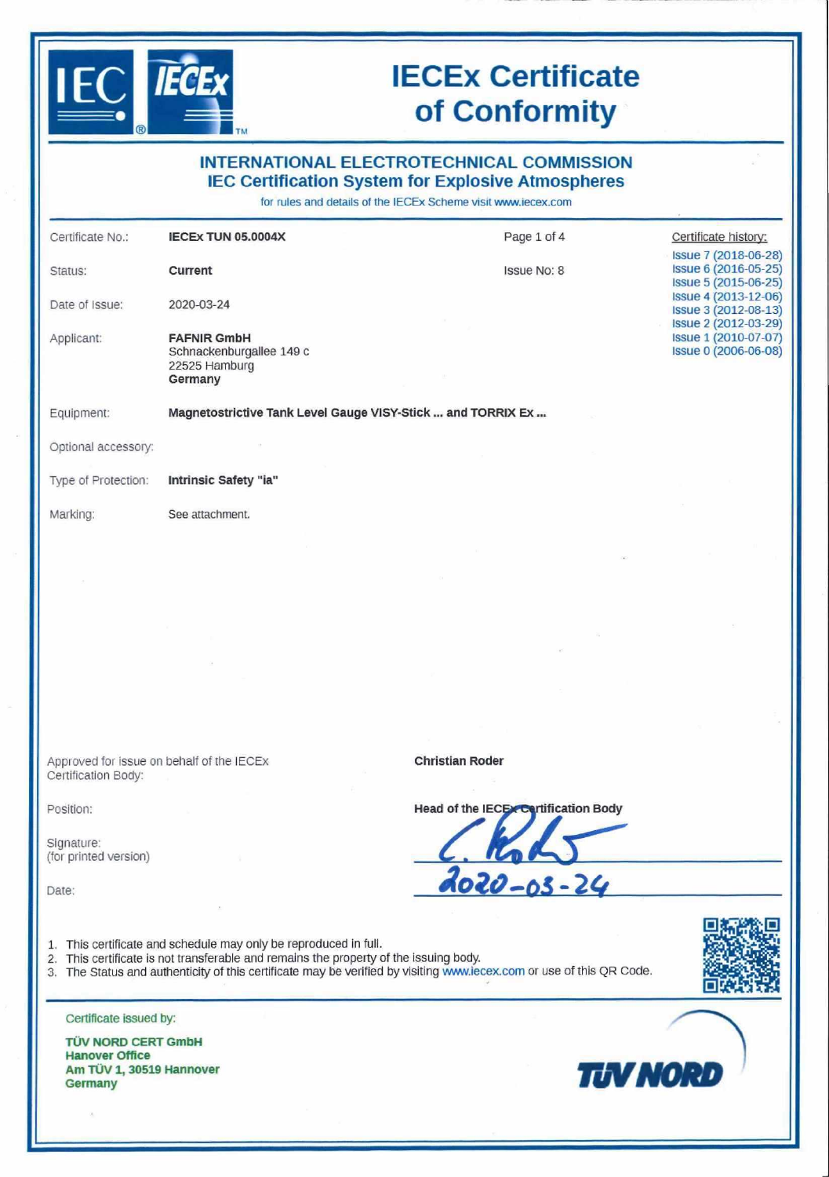## **lECEx Certificate of Conformity**

| $\bigcirc$                          | <b>TM</b>                                                                  |                                                                                                                                                                                |                                                                      |
|-------------------------------------|----------------------------------------------------------------------------|--------------------------------------------------------------------------------------------------------------------------------------------------------------------------------|----------------------------------------------------------------------|
|                                     |                                                                            | <b>INTERNATIONAL ELECTROTECHNICAL COMMISSION</b><br><b>IEC Certification System for Explosive Atmospheres</b><br>for rules and details of the IECEx Scheme visit www.iecex.com |                                                                      |
| Certificate No.:                    | <b>IECEX TUN 05.0004X</b>                                                  | Page 1 of 4                                                                                                                                                                    | Certificate history:                                                 |
| Status:                             | Current                                                                    | <b>Issue No: 8</b>                                                                                                                                                             | Issue 7 (2018-06-28)<br>Issue 6 (2016-05-25)                         |
| Date of Issue:                      | 2020-03-24                                                                 |                                                                                                                                                                                | Issue 5 (2015-06-25)<br>Issue 4 (2013-12-06)<br>Issue 3 (2012-08-13) |
| Applicant:                          | <b>FAFNIR GmbH</b><br>Schnackenburgallee 149 c<br>22525 Hamburg<br>Germany |                                                                                                                                                                                | Issue 2 (2012-03-29)<br>Issue 1 (2010-07-07)<br>Issue 0 (2006-06-08) |
| Equipment:                          | Magnetostrictive Tank Level Gauge VISY-Stick  and TORRIX Ex                |                                                                                                                                                                                |                                                                      |
| Optional accessory:                 |                                                                            |                                                                                                                                                                                |                                                                      |
| Type of Protection:                 | Intrinsic Safety "ia"                                                      |                                                                                                                                                                                |                                                                      |
| Marking:                            | See attachment.                                                            |                                                                                                                                                                                |                                                                      |
|                                     |                                                                            |                                                                                                                                                                                |                                                                      |
|                                     |                                                                            |                                                                                                                                                                                |                                                                      |
|                                     |                                                                            |                                                                                                                                                                                |                                                                      |
|                                     |                                                                            |                                                                                                                                                                                |                                                                      |
| Certification Body:                 | Approved for issue on behalf of the IECEX                                  | <b>Christian Roder</b>                                                                                                                                                         |                                                                      |
| Position:                           |                                                                            | Head of the IECEX Cortification Body                                                                                                                                           |                                                                      |
| Signature:<br>(for printed version) |                                                                            |                                                                                                                                                                                |                                                                      |
| Date:                               |                                                                            | 2020-03-24                                                                                                                                                                     |                                                                      |
|                                     |                                                                            |                                                                                                                                                                                |                                                                      |

- 1. This certificate and schedule may only be reproduced in full.
- 2. This certificate is not transferable and remains the property of the issuing body.
- 3. The Status and authenticity of this certificate may be verified by visiting [www.iecex.com](http://www.iecex.com) or use of this QR Code.



Certificate issued by:

**TÜV NORD GERT GmbH Hanover Office Am TÜV 1, 30519 Hannover** Am TÜV 1, 30519 Hannover<br>Germany

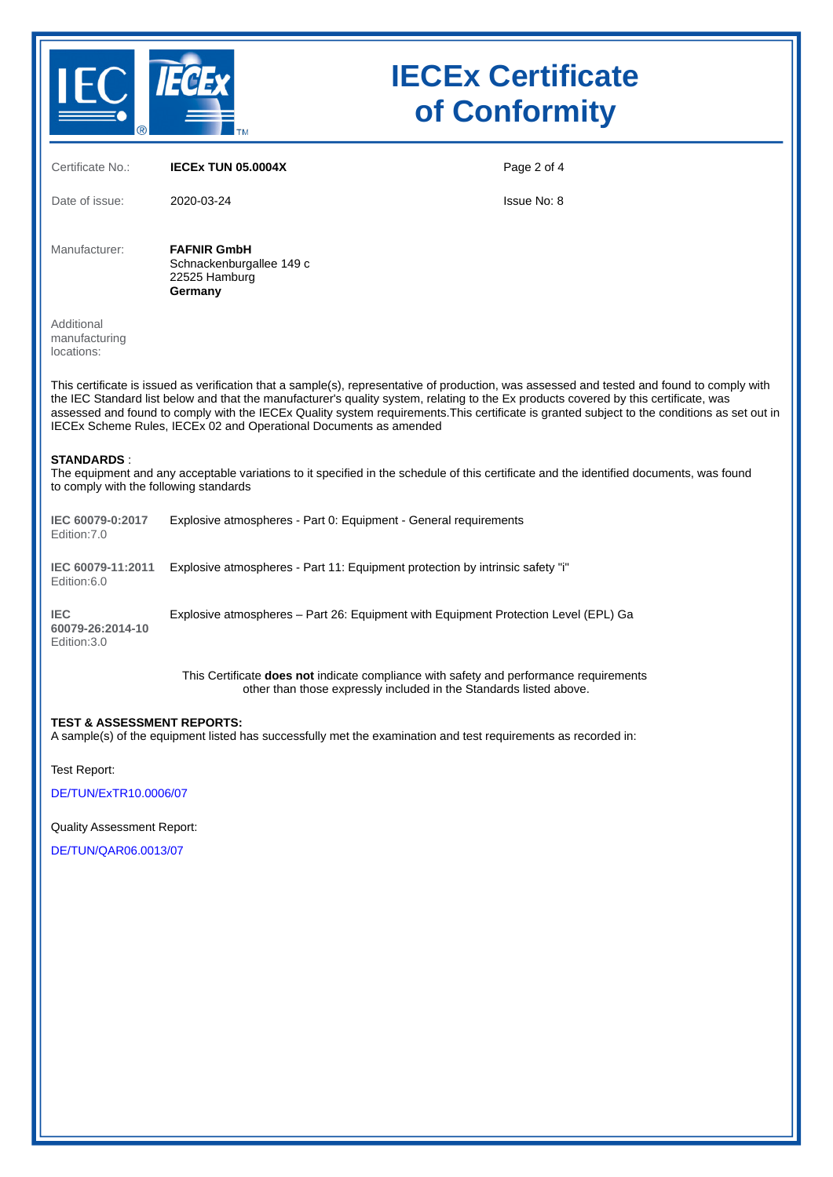

# IECEx Certificate of Conformity

| Certificate No.:                                            | <b>IECEX TUN 05.0004X</b>                                                                                                                                                                                                                                                                                                                                                                                                                                                                                | Page 2 of 4        |
|-------------------------------------------------------------|----------------------------------------------------------------------------------------------------------------------------------------------------------------------------------------------------------------------------------------------------------------------------------------------------------------------------------------------------------------------------------------------------------------------------------------------------------------------------------------------------------|--------------------|
| Date of issue:                                              | 2020-03-24                                                                                                                                                                                                                                                                                                                                                                                                                                                                                               | <b>Issue No: 8</b> |
| Manufacturer:                                               | <b>FAFNIR GmbH</b><br>Schnackenburgallee 149 c<br>22525 Hamburg<br>Germany                                                                                                                                                                                                                                                                                                                                                                                                                               |                    |
| Additional<br>manufacturing<br>locations:                   |                                                                                                                                                                                                                                                                                                                                                                                                                                                                                                          |                    |
|                                                             | This certificate is issued as verification that a sample(s), representative of production, was assessed and tested and found to comply with<br>the IEC Standard list below and that the manufacturer's quality system, relating to the Ex products covered by this certificate, was<br>assessed and found to comply with the IECEx Quality system requirements. This certificate is granted subject to the conditions as set out in<br>IECEx Scheme Rules, IECEx 02 and Operational Documents as amended |                    |
| <b>STANDARDS:</b><br>to comply with the following standards | The equipment and any acceptable variations to it specified in the schedule of this certificate and the identified documents, was found                                                                                                                                                                                                                                                                                                                                                                  |                    |
| IEC 60079-0:2017<br>Edition: 7.0                            | Explosive atmospheres - Part 0: Equipment - General requirements                                                                                                                                                                                                                                                                                                                                                                                                                                         |                    |
| IEC 60079-11:2011<br>Edition:6.0                            | Explosive atmospheres - Part 11: Equipment protection by intrinsic safety "i"                                                                                                                                                                                                                                                                                                                                                                                                                            |                    |
| <b>IEC</b><br>60079-26:2014-10<br>Edition: 3.0              | Explosive atmospheres - Part 26: Equipment with Equipment Protection Level (EPL) Ga                                                                                                                                                                                                                                                                                                                                                                                                                      |                    |
|                                                             | This Certificate <b>does not</b> indicate compliance with safety and performance requirements<br>other than those expressly included in the Standards listed above.                                                                                                                                                                                                                                                                                                                                      |                    |
| <b>TEST &amp; ASSESSMENT REPORTS:</b>                       | A sample(s) of the equipment listed has successfully met the examination and test requirements as recorded in:                                                                                                                                                                                                                                                                                                                                                                                           |                    |
| Test Report:                                                |                                                                                                                                                                                                                                                                                                                                                                                                                                                                                                          |                    |
| DE/TUN/ExTR10.0006/07                                       |                                                                                                                                                                                                                                                                                                                                                                                                                                                                                                          |                    |

Quality Assessment Report:

[DE/TUN/QAR06.0013/07](https://www.iecex-certs.com/deliverables/REPORT/43511/view)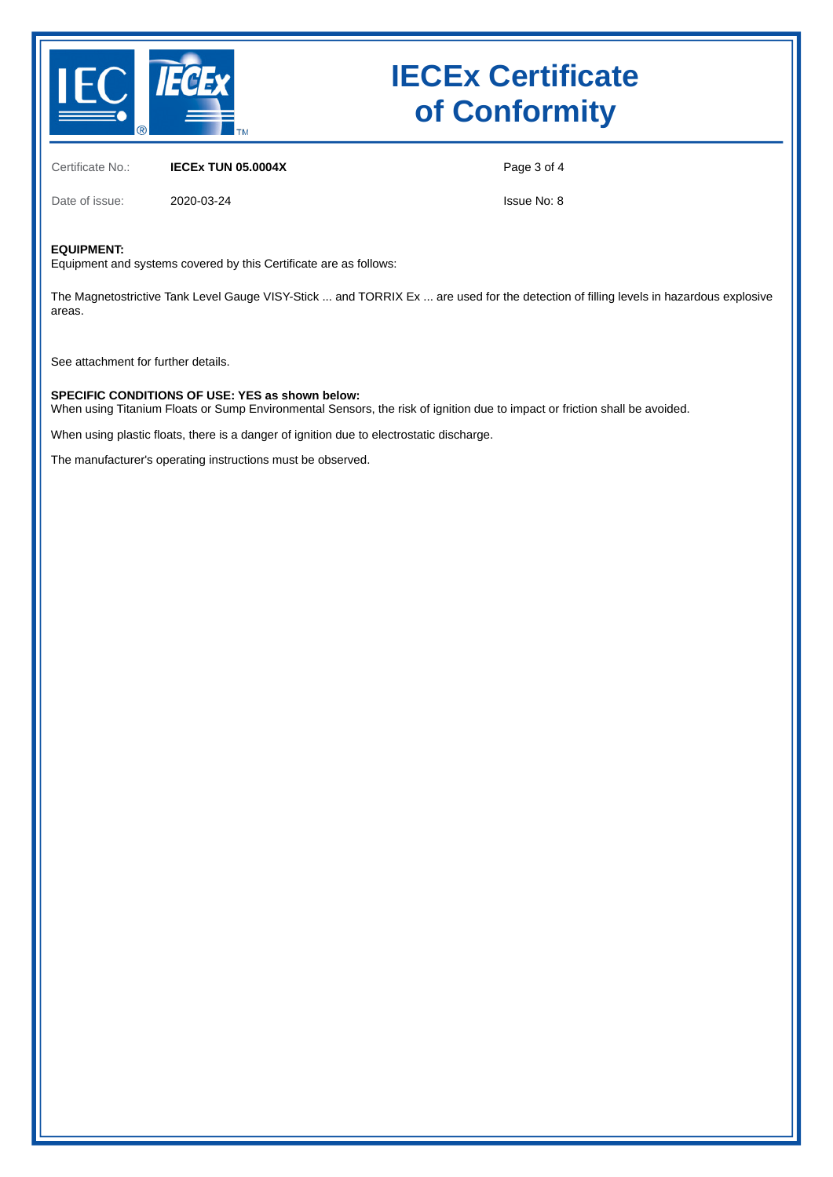

## IECEx Certificate of Conformity

Certificate No.: **IECEx TUN 05.0004X** 

Page 3 of 4

Date of issue: 2020-03-24

Issue No: 8

#### EQUIPMENT:

Equipment and systems covered by this Certificate are as follows:

The Magnetostrictive Tank Level Gauge VISY-Stick ... and TORRIX Ex ... are used for the detection of filling levels in hazardous explosive areas.

See attachment for further details.

#### SPECIFIC CONDITIONS OF USE: YES as shown below:

When using Titanium Floats or Sump Environmental Sensors, the risk of ignition due to impact or friction shall be avoided.

When using plastic floats, there is a danger of ignition due to electrostatic discharge.

The manufacturer's operating instructions must be observed.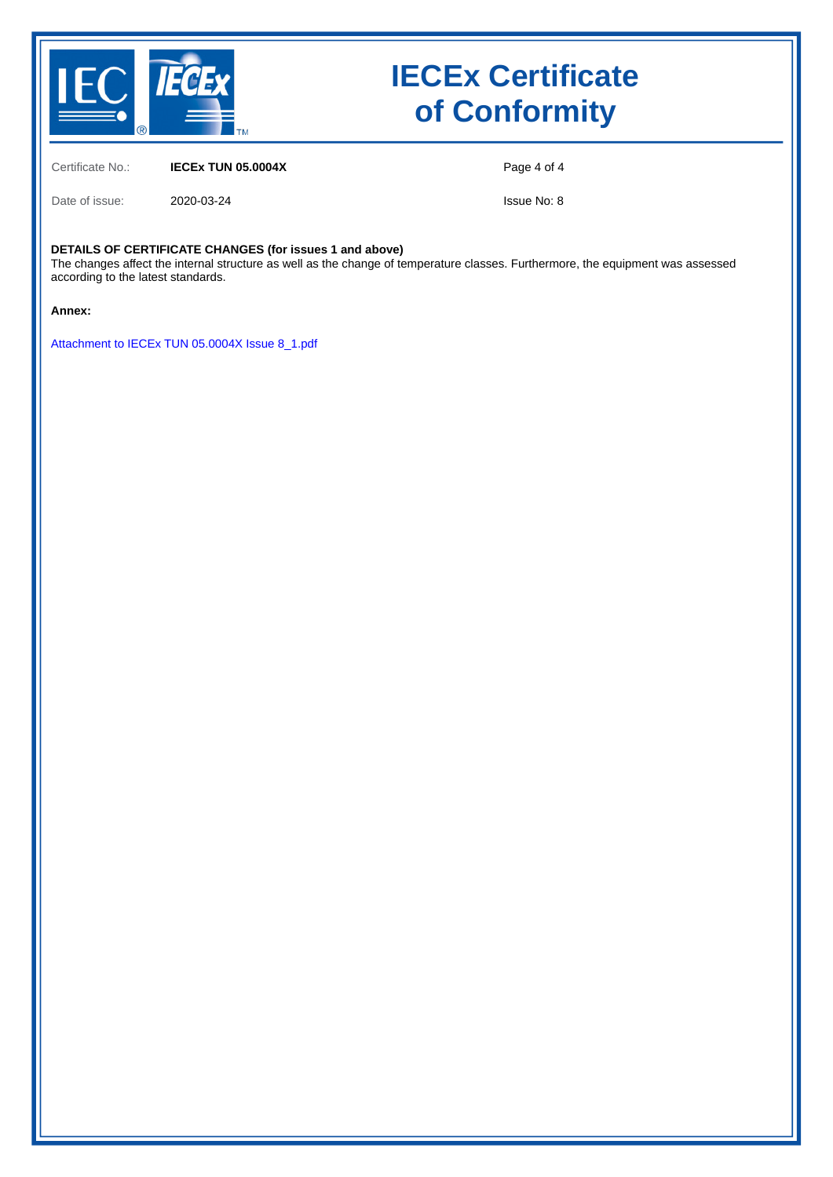

## IECEx Certificate of Conformity

Certificate No.: **IECEx TUN 05.0004X** 

Page 4 of 4

Date of issue: 2020-03-24

Issue No: 8

#### DETAILS OF CERTIFICATE CHANGES (for issues 1 and above)

The changes affect the internal structure as well as the change of temperature classes. Furthermore, the equipment was assessed according to the latest standards.

Annex:

[Attachment to IECEx TUN 05.0004X Issue 8\\_1.pdf](https://www.iecex-certs.com/deliverables/CERT/45113/view)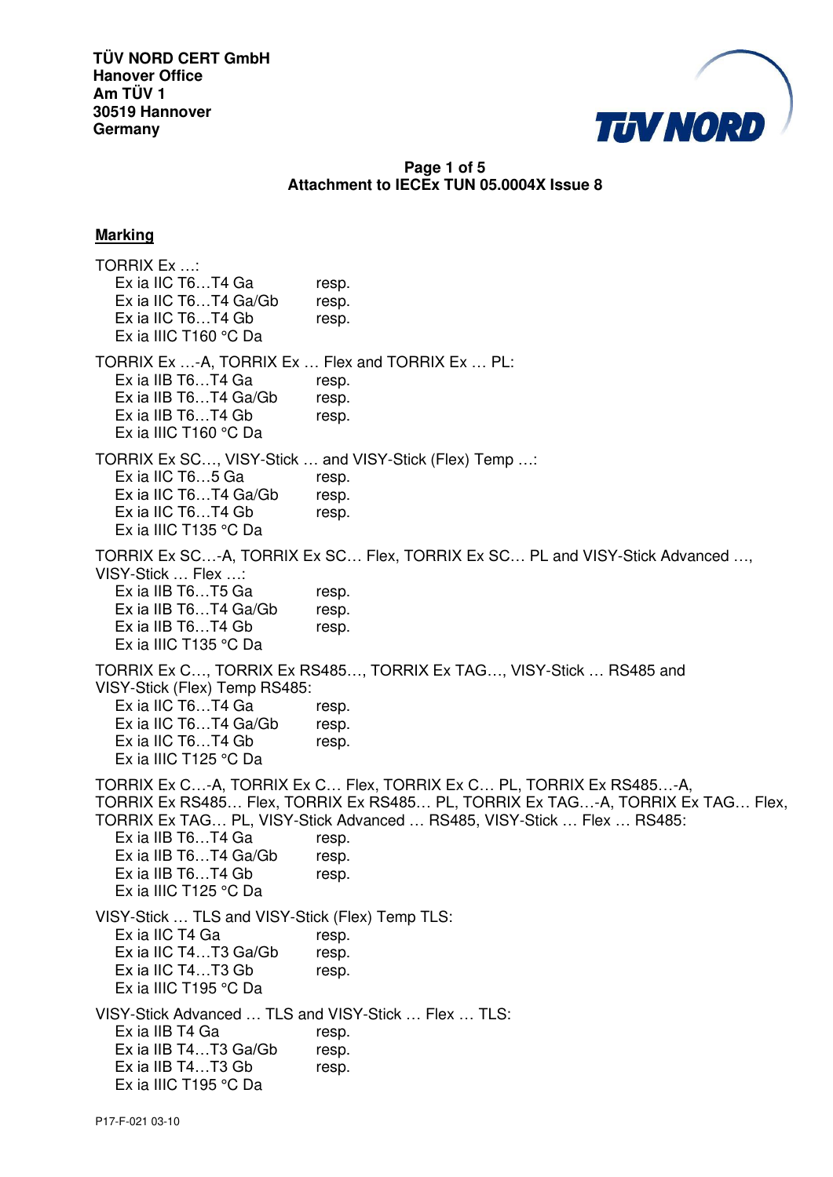

## **Page 1 of 5 Attachment to IECEx TUN 05.0004X Issue 8**

#### **Marking**

TORRIX Ex …: Ex ia IIC T6...T4 Ga resp. Ex ia IIC T6...T4 Ga/Gb resp. Ex ia IIC T6...T4 Gb resp. Ex ia IIIC T160 °C Da TORRIX Ex …-A, TORRIX Ex … Flex and TORRIX Ex … PL: Ex ia IIB T6...T4 Ga resp. Ex ia IIB T6...T4 Ga/Gb resp. Ex ia IIB T6...T4 Gb resp. Ex ia IIIC T160 °C Da TORRIX Ex SC…, VISY-Stick … and VISY-Stick (Flex) Temp …: Ex ia IIC T6...5 Ga resp. Ex ia IIC T6...T4 Ga/Gb resp. Ex ia IIC T6...T4 Gb resp. Ex ia IIIC T135 °C Da TORRIX Ex SC…-A, TORRIX Ex SC… Flex, TORRIX Ex SC… PL and VISY-Stick Advanced …, VISY-Stick … Flex …: Ex ia IIB T6...T5 Ga resp. Ex ia IIB T6...T4 Ga/Gb resp. Ex ia IIB T6...T4 Gb resp. Ex ia IIIC T135 °C Da TORRIX Ex C…, TORRIX Ex RS485…, TORRIX Ex TAG…, VISY-Stick … RS485 and VISY-Stick (Flex) Temp RS485: Ex ia IIC T6...T4 Ga resp. Ex ia IIC T6...T4 Ga/Gb resp. Ex ia IIC T6...T4 Gb resp. Ex ia IIIC T125 °C Da TORRIX Ex C…-A, TORRIX Ex C… Flex, TORRIX Ex C… PL, TORRIX Ex RS485…-A, TORRIX Ex RS485… Flex, TORRIX Ex RS485… PL, TORRIX Ex TAG…-A, TORRIX Ex TAG… Flex, TORRIX Ex TAG… PL, VISY-Stick Advanced … RS485, VISY-Stick … Flex … RS485: Ex ia IIB T6...T4 Ga resp. Ex ia IIB T6...T4 Ga/Gb resp. Ex ia IIB T6...T4 Gb resp. Ex ia IIIC T125 °C Da VISY-Stick … TLS and VISY-Stick (Flex) Temp TLS: Ex ia IIC T4 Ga resp. Ex ia IIC T4...T3 Ga/Gb resp. Ex ia IIC T4...T3 Gb resp. Ex ia IIIC T195 °C Da VISY-Stick Advanced … TLS and VISY-Stick … Flex … TLS: Ex ia IIB T4 Ga resp. Ex ia IIB T4...T3 Ga/Gb resp. Ex ia IIB T4...T3 Gb resp. Ex ia IIIC T195 °C Da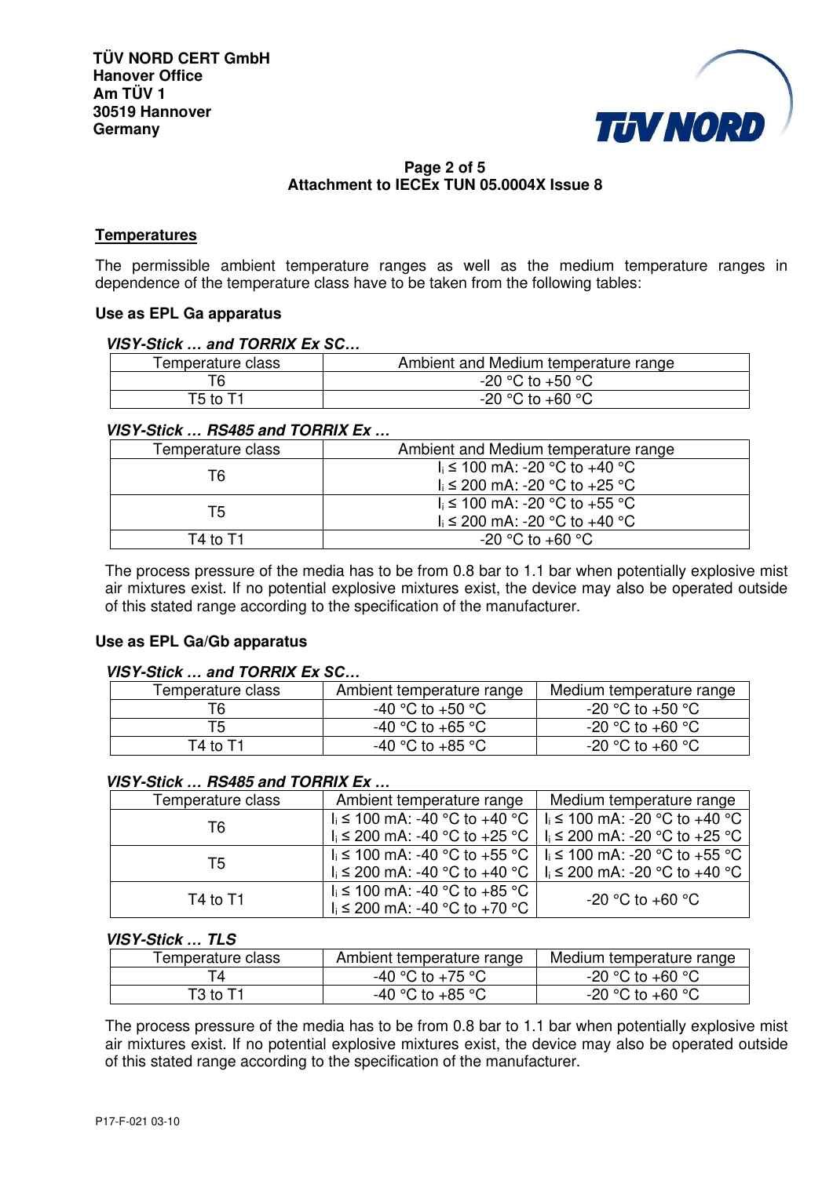

## **Page 2 of 5 Attachment to IECEx TUN 05.0004X Issue 8**

### **Temperatures**

The permissible ambient temperature ranges as well as the medium temperature ranges in dependence of the temperature class have to be taken from the following tables:

#### **Use as EPL Ga apparatus**

## **VISY-Stick** *… and TORRIX* **Ex** *SC…*

| Temperature class | Ambient and Medium temperature range |
|-------------------|--------------------------------------|
| Т6                | $-20$ °C to $+50$ °C                 |
| T5 to T1          | $-20$ °C to $+60$ °C                 |

#### **VISY-Stick** *…* **RS485 and TORRIX Ex** *…*

| Temperature class | Ambient and Medium temperature range |  |
|-------------------|--------------------------------------|--|
| Т6                | $I_i$ ≤ 100 mA: -20 °C to +40 °C     |  |
|                   | $I_i$ ≤ 200 mA: -20 °C to +25 °C     |  |
| Т5                | $I_i$ ≤ 100 mA: -20 °C to +55 °C     |  |
|                   | $I_i$ ≤ 200 mA: -20 °C to +40 °C     |  |
| T4 to T1          | $-20$ °C to $+60$ °C                 |  |

The process pressure of the media has to be from 0.8 bar to 1.1 bar when potentially explosive mist air mixtures exist. If no potential explosive mixtures exist, the device may also be operated outside of this stated range according to the specification of the manufacturer.

#### **Use as EPL Ga/Gb apparatus**

#### **VISY-Stick** *… and TORRIX* **Ex** *SC…*

| Temperature class | Ambient temperature range | Medium temperature range |
|-------------------|---------------------------|--------------------------|
|                   | -40 °C to +50 °C          | $-20$ °C to $+50$ °C     |
| T5                | -40 °C to +65 °C          | $-20$ °C to $+60$ °C     |
| T4 to T1          | -40 °C to +85 °C          | $-20$ °C to $+60$ °C     |

#### **VISY-Stick** *…* **RS485 and TORRIX Ex** *…*

| Temperature class | Ambient temperature range                                           | Medium temperature range                                            |
|-------------------|---------------------------------------------------------------------|---------------------------------------------------------------------|
| Τ6                |                                                                     | $I_i$ ≤ 100 mA: -40 °C to +40 °C   $I_i$ ≤ 100 mA: -20 °C to +40 °C |
|                   |                                                                     | $I_i$ ≤ 200 mA: -40 °C to +25 °C   $I_i$ ≤ 200 mA: -20 °C to +25 °C |
| Τ5                | $I_i$ ≤ 100 mA: -40 °C to +55 °C   $I_i$ ≤ 100 mA: -20 °C to +55 °C |                                                                     |
|                   |                                                                     | $I_i$ ≤ 200 mA: -40 °C to +40 °C   $I_i$ ≤ 200 mA: -20 °C to +40 °C |
| T4 to T1          | $I_i$ ≤ 100 mA: -40 °C to +85 °C                                    | $-20$ °C to $+60$ °C                                                |
|                   | $I_i$ ≤ 200 mA: -40 °C to +70 °C                                    |                                                                     |

#### **VISY-Stick** *…* **TLS**

| Temperature class | Ambient temperature range | Medium temperature range         |
|-------------------|---------------------------|----------------------------------|
|                   | -40 °C to +75 °C          | $\cdot$ -20 °C to +60 °C         |
| T3 to T1          | -40 °C to +85 °C          | $\cdot$ -20 °C to +60 °C $\cdot$ |

The process pressure of the media has to be from 0.8 bar to 1.1 bar when potentially explosive mist air mixtures exist. If no potential explosive mixtures exist, the device may also be operated outside of this stated range according to the specification of the manufacturer.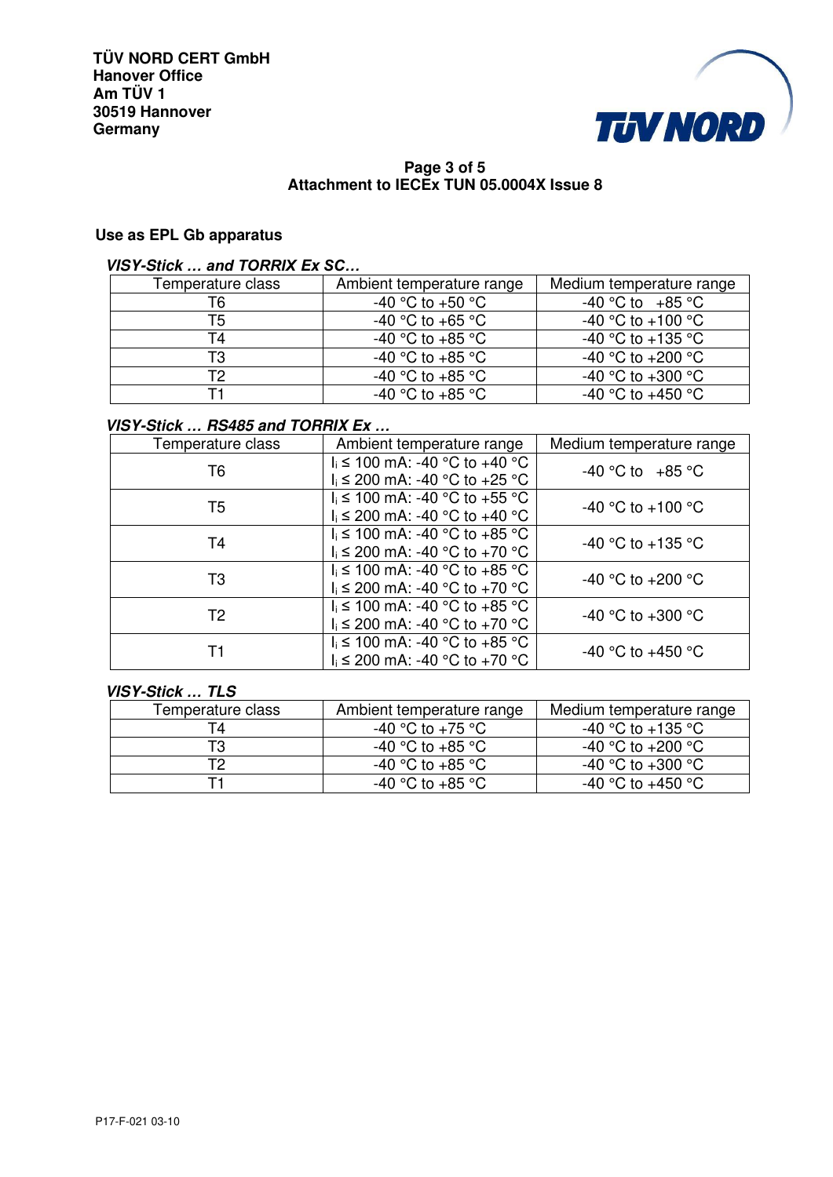

## **Page 3 of 5 Attachment to IECEx TUN 05.0004X Issue 8**

## **Use as EPL Gb apparatus**

## **VISY-Stick** *… and TORRIX* **Ex** *SC…*

| Temperature class | Ambient temperature range | Medium temperature range              |
|-------------------|---------------------------|---------------------------------------|
| Т6                | -40 °C to +50 °C          | $-40$ °C to $+85$ °C                  |
| T5                | $-40$ °C to $+65$ °C      | -40 °C to +100 °C                     |
| T4                | -40 °C to +85 °C          | -40 °C to +135 °C                     |
| T3                | -40 °C to +85 °C          | -40 °C to +200 °C                     |
| Т2                | -40 °C to +85 °C          | -40 $^{\circ}$ C to +300 $^{\circ}$ C |
|                   | -40 °C to +85 °C          | -40 °C to +450 °C                     |

## **VISY-Stick** *…* **RS485 and TORRIX Ex** *…*

| Temperature class | Ambient temperature range                                            | Medium temperature range |
|-------------------|----------------------------------------------------------------------|--------------------------|
| T <sub>6</sub>    | $I_i$ ≤ 100 mA: -40 °C to +40 °C<br>$I_i$ ≤ 200 mA: -40 °C to +25 °C | $-40$ °C to $+85$ °C     |
| T5                | $I_i$ ≤ 100 mA: -40 °C to +55 °C<br>$I_i$ ≤ 200 mA: -40 °C to +40 °C | -40 °C to +100 °C        |
| T <sub>4</sub>    | $I_i$ ≤ 100 mA: -40 °C to +85 °C<br>$I_i$ ≤ 200 mA: -40 °C to +70 °C | -40 °C to +135 °C        |
| T <sub>3</sub>    | $I_i$ ≤ 100 mA: -40 °C to +85 °C<br>$I_i$ ≤ 200 mA: -40 °C to +70 °C | -40 °C to +200 °C        |
| T <sub>2</sub>    | $I_i$ ≤ 100 mA: -40 °C to +85 °C<br>$I_i$ ≤ 200 mA: -40 °C to +70 °C | -40 °C to +300 °C        |
| Τ1                | $I_i$ ≤ 100 mA: -40 °C to +85 °C<br>$I_i$ ≤ 200 mA: -40 °C to +70 °C | -40 °C to +450 °C        |

## **VISY-Stick** *…* **TLS**

| Temperature class | Ambient temperature range | Medium temperature range |
|-------------------|---------------------------|--------------------------|
|                   | -40 °C to +75 °C          | -40 °C to +135 °C.       |
| T3                | -40 °C to +85 °C          | -40 °C to +200 °C.       |
| Τ2                | -40 °C to +85 °C          | -40 °C to +300 °C.       |
|                   | -40 °C to +85 °C          | -40 °C to +450 °C        |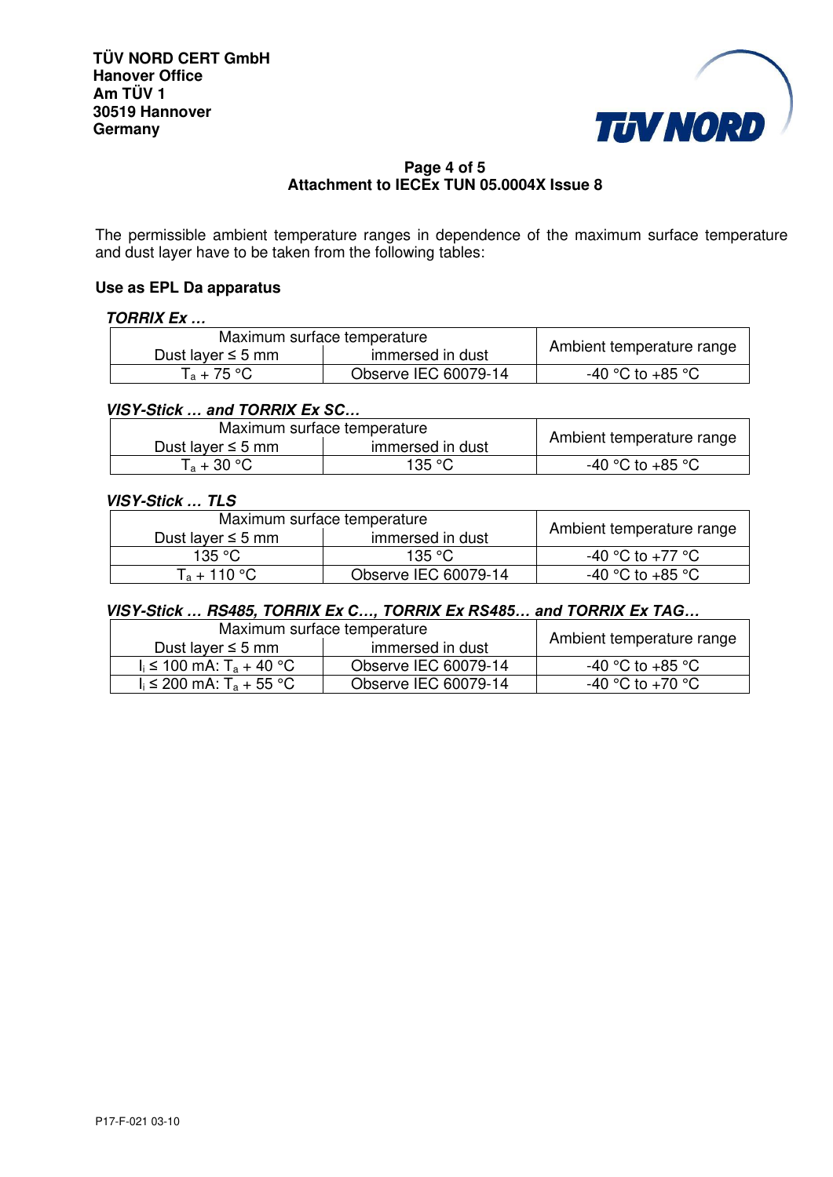

## **Page 4 of 5 Attachment to IECEx TUN 05.0004X Issue 8**

The permissible ambient temperature ranges in dependence of the maximum surface temperature and dust layer have to be taken from the following tables:

#### **Use as EPL Da apparatus**

## **TORRIX Ex** *…*

| Maximum surface temperature                |                      | Ambient temperature range |
|--------------------------------------------|----------------------|---------------------------|
| immersed in dust<br>Dust layer $\leq$ 5 mm |                      |                           |
| $T_a + 75 °C$                              | Observe IEC 60079-14 | -40 °C to +85 °C          |

## **VISY-Stick** *… and TORRIX* **Ex** *SC…*

| Maximum surface temperature |                  |                           |  |
|-----------------------------|------------------|---------------------------|--|
| Dust layer $\leq$ 5 mm      | immersed in dust | Ambient temperature range |  |
| $T_a + 30 °C$               | 135 °C           | -40 °C to +85 °C          |  |

## **VISY-Stick** *…* **TLS**

| Maximum surface temperature |                      |                           |
|-----------------------------|----------------------|---------------------------|
| Dust layer $\leq$ 5 mm      | immersed in dust     | Ambient temperature range |
| 135 °C.                     | 135 °C               | -40 °C to +77 °C          |
| $T_a + 110 °C$              | Observe IEC 60079-14 | -40 °C to +85 °C          |

### **VISY-Stick** *…* **RS485, TORRIX Ex** *C…, TORRIX* **Ex** *RS485… and TORRIX* **Ex** *TAG…*

| Maximum surface temperature            |                      |                           |
|----------------------------------------|----------------------|---------------------------|
| Dust layer $\leq$ 5 mm                 | immersed in dust     | Ambient temperature range |
| $I_i$ ≤ 100 mA: T <sub>a</sub> + 40 °C | Observe IEC 60079-14 | -40 °C to +85 °C          |
| $I_i$ ≤ 200 mA: T <sub>a</sub> + 55 °C | Observe IEC 60079-14 | -40 °C to +70 °C          |